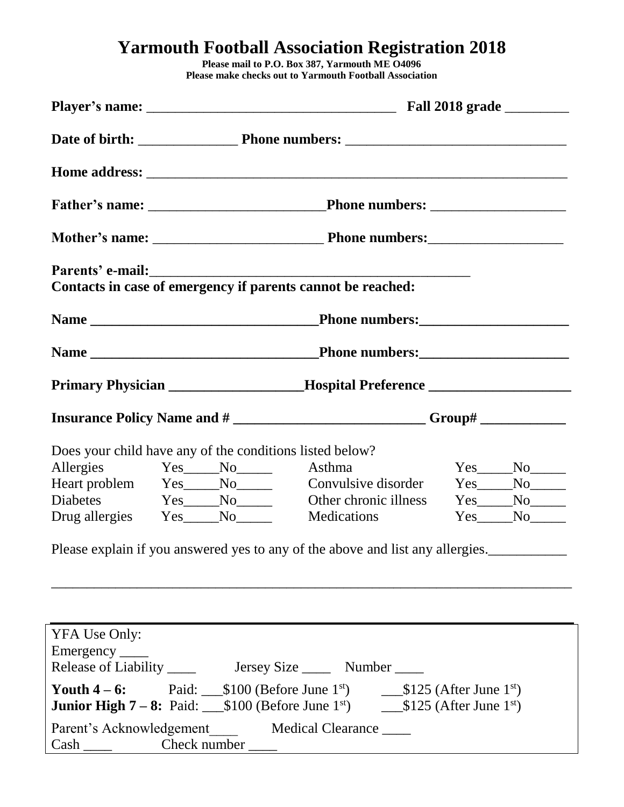## **Yarmouth Football Association Registration 2018**

**Please mail to P.O. Box 387, Yarmouth ME O4096 Please make checks out to Yarmouth Football Association**

|                                  |                                                          | Contacts in case of emergency if parents cannot be reached:                                                          |                 |  |  |
|----------------------------------|----------------------------------------------------------|----------------------------------------------------------------------------------------------------------------------|-----------------|--|--|
|                                  |                                                          |                                                                                                                      |                 |  |  |
|                                  |                                                          |                                                                                                                      |                 |  |  |
|                                  |                                                          | Primary Physician ___________________Hospital Preference _______________________                                     |                 |  |  |
|                                  |                                                          | Insurance Policy Name and # ___________________________Group# ___________________                                    |                 |  |  |
|                                  | Does your child have any of the conditions listed below? |                                                                                                                      |                 |  |  |
|                                  | Allergies Yes No Asthma                                  |                                                                                                                      | $Yes$ No $\_\_$ |  |  |
|                                  |                                                          | Heart problem Yes____No________ Convulsive disorder                                                                  | $Yes$ No $N$    |  |  |
|                                  | Drug allergies Yes No No                                 | Diabetes Yes No Other chronic illness Yes No No<br><b>Medications</b>                                                | $Yes$ No $N$    |  |  |
|                                  |                                                          | Please explain if you answered yes to any of the above and list any allergies.                                       |                 |  |  |
|                                  |                                                          |                                                                                                                      |                 |  |  |
|                                  |                                                          |                                                                                                                      |                 |  |  |
|                                  |                                                          |                                                                                                                      |                 |  |  |
| YFA Use Only:<br>Emergency _____ |                                                          |                                                                                                                      |                 |  |  |
|                                  |                                                          |                                                                                                                      |                 |  |  |
|                                  |                                                          |                                                                                                                      |                 |  |  |
|                                  | the contract of the contract of the                      | <b>Junior High 7-8:</b> Paid: ___\$100 (Before June 1 <sup>st</sup> ) ___________\$125 (After June 1 <sup>st</sup> ) |                 |  |  |

Parent's Acknowledgement Medical Clearance \_\_\_\_ Cash Check number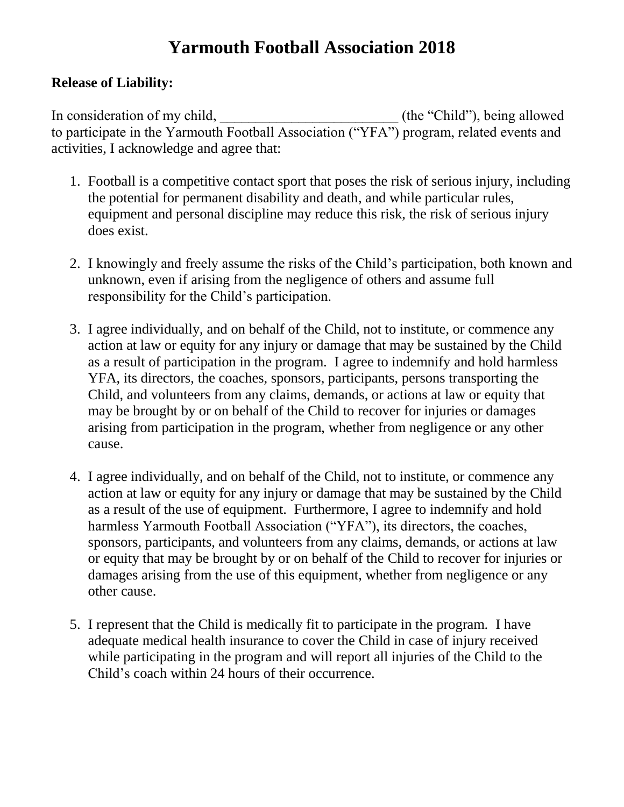# **Yarmouth Football Association 2018**

### **Release of Liability:**

In consideration of my child, the "Child"), being allowed to participate in the Yarmouth Football Association ("YFA") program, related events and activities, I acknowledge and agree that:

- 1. Football is a competitive contact sport that poses the risk of serious injury, including the potential for permanent disability and death, and while particular rules, equipment and personal discipline may reduce this risk, the risk of serious injury does exist.
- 2. I knowingly and freely assume the risks of the Child's participation, both known and unknown, even if arising from the negligence of others and assume full responsibility for the Child's participation.
- 3. I agree individually, and on behalf of the Child, not to institute, or commence any action at law or equity for any injury or damage that may be sustained by the Child as a result of participation in the program. I agree to indemnify and hold harmless YFA, its directors, the coaches, sponsors, participants, persons transporting the Child, and volunteers from any claims, demands, or actions at law or equity that may be brought by or on behalf of the Child to recover for injuries or damages arising from participation in the program, whether from negligence or any other cause.
- 4. I agree individually, and on behalf of the Child, not to institute, or commence any action at law or equity for any injury or damage that may be sustained by the Child as a result of the use of equipment. Furthermore, I agree to indemnify and hold harmless Yarmouth Football Association ("YFA"), its directors, the coaches, sponsors, participants, and volunteers from any claims, demands, or actions at law or equity that may be brought by or on behalf of the Child to recover for injuries or damages arising from the use of this equipment, whether from negligence or any other cause.
- 5. I represent that the Child is medically fit to participate in the program. I have adequate medical health insurance to cover the Child in case of injury received while participating in the program and will report all injuries of the Child to the Child's coach within 24 hours of their occurrence.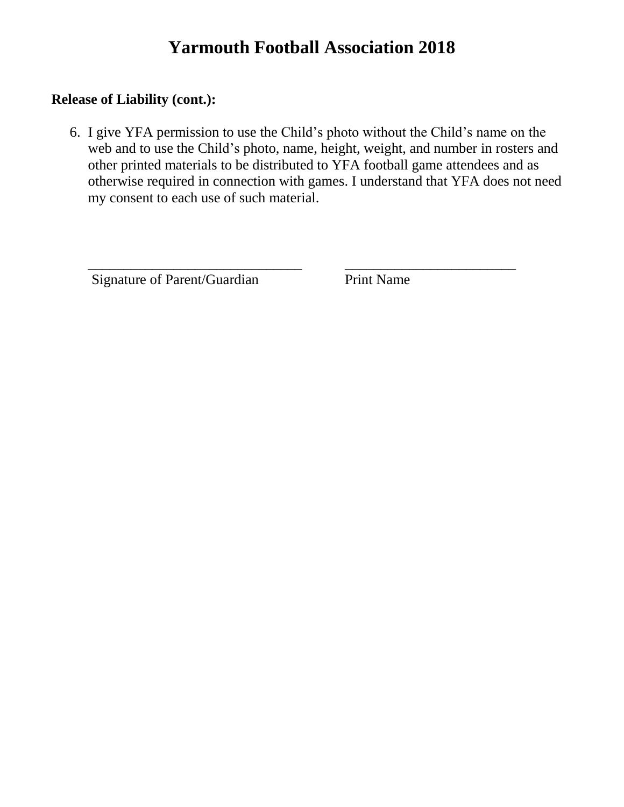### **Yarmouth Football Association 2018**

#### **Release of Liability (cont.):**

6. I give YFA permission to use the Child's photo without the Child's name on the web and to use the Child's photo, name, height, weight, and number in rosters and other printed materials to be distributed to YFA football game attendees and as otherwise required in connection with games. I understand that YFA does not need my consent to each use of such material.

\_\_\_\_\_\_\_\_\_\_\_\_\_\_\_\_\_\_\_\_\_\_\_\_\_\_\_\_\_\_ \_\_\_\_\_\_\_\_\_\_\_\_\_\_\_\_\_\_\_\_\_\_\_\_

Signature of Parent/Guardian Print Name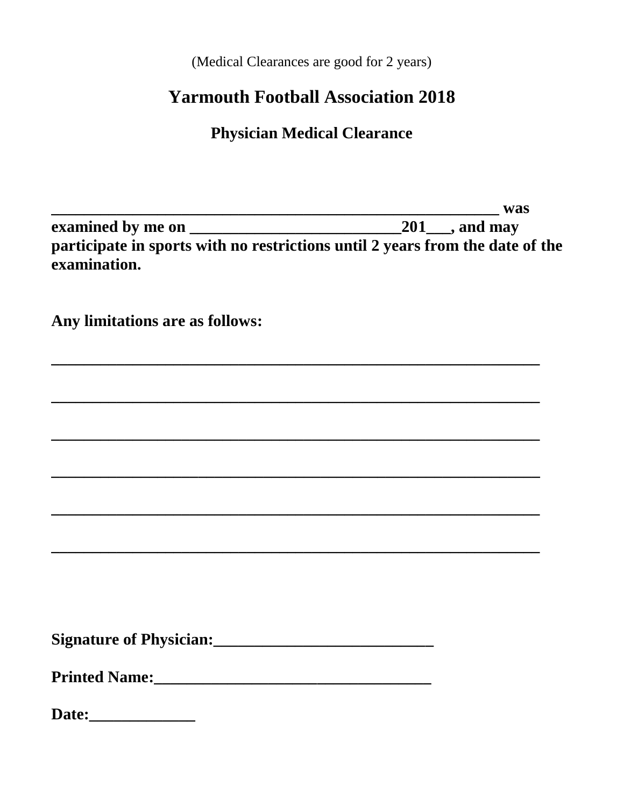(Medical Clearances are good for 2 years)

## **Yarmouth Football Association 2018**

**Physician Medical Clearance** 

|                                                                                                                | was |
|----------------------------------------------------------------------------------------------------------------|-----|
|                                                                                                                |     |
| participate in sports with no restrictions until 2 years from the date of the<br>examination.                  |     |
| Any limitations are as follows:                                                                                |     |
|                                                                                                                |     |
|                                                                                                                |     |
|                                                                                                                |     |
|                                                                                                                |     |
|                                                                                                                |     |
|                                                                                                                |     |
|                                                                                                                |     |
| Printed Name: Manual Manual Manual Manual Manual Manual Manual Manual Manual Manual Manual Manual Manual Manua |     |
| Date:                                                                                                          |     |